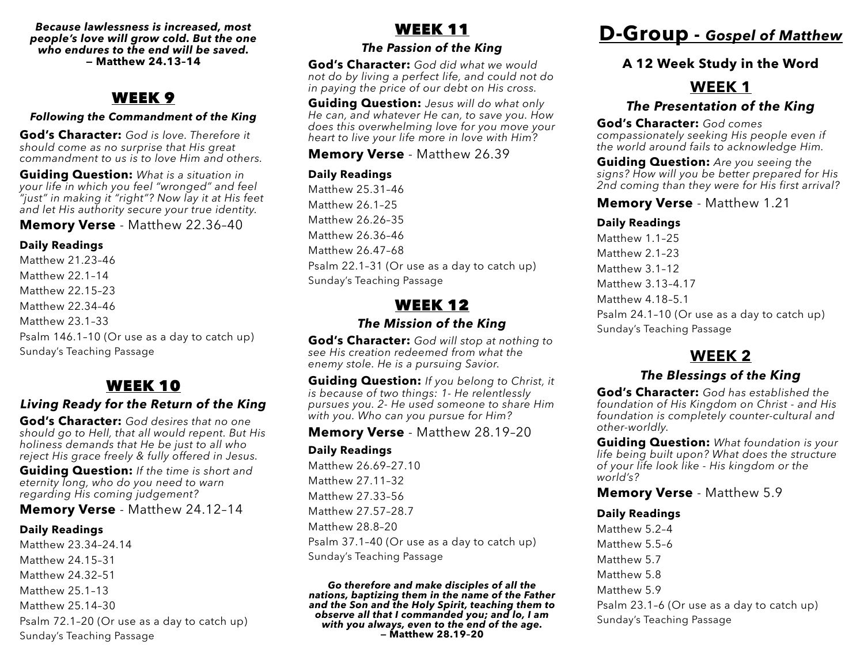*Because lawlessness is increased, most people's love will grow cold. But the one who endures to the end will be saved.*  **— Matthew 24.13–14**

### WEEK 9

#### *Following the Commandment of the King*

**God's Character:** *God is love. Therefore it should come as no surprise that His great commandment to us is to love Him and others.*

**Guiding Question:** *What is a situation in your life in which you feel "wronged" and feel "just" in making it "right"? Now lay it at His feet and let His authority secure your true identity.* 

**Memory Verse** - Matthew 22.36–40

#### **Daily Readings**

Matthew 21.23–46 Matthew 22.1–14 Matthew 22.15–23 Matthew 22.34–46 Matthew 23.1–33 Psalm 146.1–10 (Or use as a day to catch up) Sunday's Teaching Passage

## WEEK 10

#### *Living Ready for the Return of the King*

**God's Character:** *God desires that no one should go to Hell, that all would repent. But His holiness demands that He be just to all who reject His grace freely & fully offered in Jesus.*

**Guiding Question:** *If the time is short and eternity long, who do you need to warn regarding His coming judgement?*

**Memory Verse** - Matthew 24.12–14

#### **Daily Readings**

Matthew 23.34–24.14 Matthew 24.15–31 Matthew 24.32–51 Matthew 25.1–13 Matthew 25.14–30 Psalm 72.1–20 (Or use as a day to catch up) Sunday's Teaching Passage

## WEEK 11

#### *The Passion of the King*

**God's Character:** *God did what we would not do by living a perfect life, and could not do in paying the price of our debt on His cross.*

**Guiding Question:** *Jesus will do what only He can, and whatever He can, to save you. How does this overwhelming love for you move your heart to live your life more in love with Him?* 

**Memory Verse** - Matthew 26.39

#### **Daily Readings**

Matthew 25.31–46 Matthew 26.1–25 Matthew 26.26–35 Matthew 26.36–46 Matthew 26.47–68 Psalm 22.1–31 (Or use as a day to catch up) Sunday's Teaching Passage

## WEEK 12

#### *The Mission of the King*

**God's Character:** *God will stop at nothing to see His creation redeemed from what the enemy stole. He is a pursuing Savior.*

**Guiding Question:** *If you belong to Christ, it is because of two things: 1- He relentlessly pursues you. 2- He used someone to share Him with you. Who can you pursue for Him?*

**Memory Verse** - Matthew 28.19–20

#### **Daily Readings**

Matthew 26.69–27.10 Matthew 27.11–32 Matthew 27.33–56 Matthew 27.57–28.7 Matthew 28.8–20 Psalm 37.1–40 (Or use as a day to catch up) Sunday's Teaching Passage

*Go therefore and make disciples of all the nations, baptizing them in the name of the Father and the Son and the Holy Spirit, teaching them to observe all that I commanded you; and lo, I am with you always, even to the end of the age.*  **— Matthew 28.19–20**

# **D-Group -** *Gospel of Matthew*

### **A 12 Week Study in the Word**

## **WEEK 1**

### *The Presentation of the King*

**God's Character:** *God comes compassionately seeking His people even if the world around fails to acknowledge Him.*

**Guiding Question:** *Are you seeing the signs? How will you be better prepared for His 2nd coming than they were for His first arrival?*

#### **Memory Verse** - Matthew 1.21

#### **Daily Readings**

Matthew 1.1–25 Matthew 2.1–23 Matthew 3.1–12 Matthew 3.13–4.17 Matthew 4.18–5.1 Psalm 24.1–10 (Or use as a day to catch up) Sunday's Teaching Passage

## **WEEK 2**

### *The Blessings of the King*

**God's Character:** *God has established the foundation of His Kingdom on Christ - and His foundation is completely counter-cultural and other-worldly.*

**Guiding Question:** *What foundation is your life being built upon? What does the structure of your life look like - His kingdom or the world's?* 

**Memory Verse** - Matthew 5.9

#### **Daily Readings**

Matthew 5.2–4 Matthew 5.5–6 Matthew 5.7 Matthew 5.8 Matthew 5.9 Psalm 23.1–6 (Or use as a day to catch up) Sunday's Teaching Passage